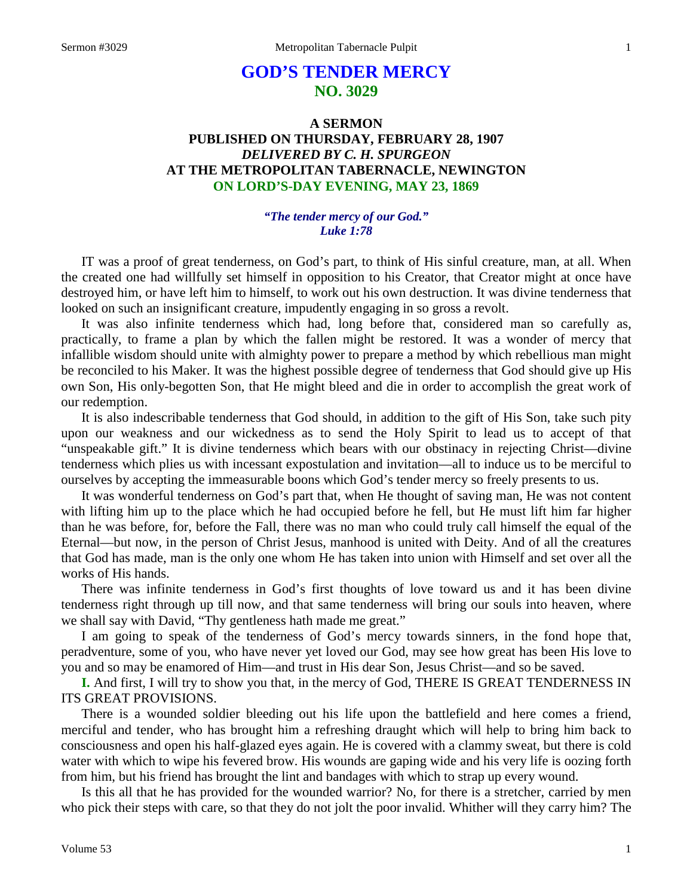# **GOD'S TENDER MERCY NO. 3029**

# **A SERMON PUBLISHED ON THURSDAY, FEBRUARY 28, 1907** *DELIVERED BY C. H. SPURGEON* **AT THE METROPOLITAN TABERNACLE, NEWINGTON ON LORD'S-DAY EVENING, MAY 23, 1869**

#### *"The tender mercy of our God." Luke 1:78*

IT was a proof of great tenderness, on God's part, to think of His sinful creature, man, at all. When the created one had willfully set himself in opposition to his Creator, that Creator might at once have destroyed him, or have left him to himself, to work out his own destruction. It was divine tenderness that looked on such an insignificant creature, impudently engaging in so gross a revolt.

It was also infinite tenderness which had, long before that, considered man so carefully as, practically, to frame a plan by which the fallen might be restored. It was a wonder of mercy that infallible wisdom should unite with almighty power to prepare a method by which rebellious man might be reconciled to his Maker. It was the highest possible degree of tenderness that God should give up His own Son, His only-begotten Son, that He might bleed and die in order to accomplish the great work of our redemption.

It is also indescribable tenderness that God should, in addition to the gift of His Son, take such pity upon our weakness and our wickedness as to send the Holy Spirit to lead us to accept of that "unspeakable gift." It is divine tenderness which bears with our obstinacy in rejecting Christ—divine tenderness which plies us with incessant expostulation and invitation—all to induce us to be merciful to ourselves by accepting the immeasurable boons which God's tender mercy so freely presents to us.

It was wonderful tenderness on God's part that, when He thought of saving man, He was not content with lifting him up to the place which he had occupied before he fell, but He must lift him far higher than he was before, for, before the Fall, there was no man who could truly call himself the equal of the Eternal—but now, in the person of Christ Jesus, manhood is united with Deity. And of all the creatures that God has made, man is the only one whom He has taken into union with Himself and set over all the works of His hands.

There was infinite tenderness in God's first thoughts of love toward us and it has been divine tenderness right through up till now, and that same tenderness will bring our souls into heaven, where we shall say with David, "Thy gentleness hath made me great."

I am going to speak of the tenderness of God's mercy towards sinners, in the fond hope that, peradventure, some of you, who have never yet loved our God, may see how great has been His love to you and so may be enamored of Him—and trust in His dear Son, Jesus Christ—and so be saved.

**I.** And first, I will try to show you that, in the mercy of God, THERE IS GREAT TENDERNESS IN ITS GREAT PROVISIONS.

There is a wounded soldier bleeding out his life upon the battlefield and here comes a friend, merciful and tender, who has brought him a refreshing draught which will help to bring him back to consciousness and open his half-glazed eyes again. He is covered with a clammy sweat, but there is cold water with which to wipe his fevered brow. His wounds are gaping wide and his very life is oozing forth from him, but his friend has brought the lint and bandages with which to strap up every wound.

Is this all that he has provided for the wounded warrior? No, for there is a stretcher, carried by men who pick their steps with care, so that they do not jolt the poor invalid. Whither will they carry him? The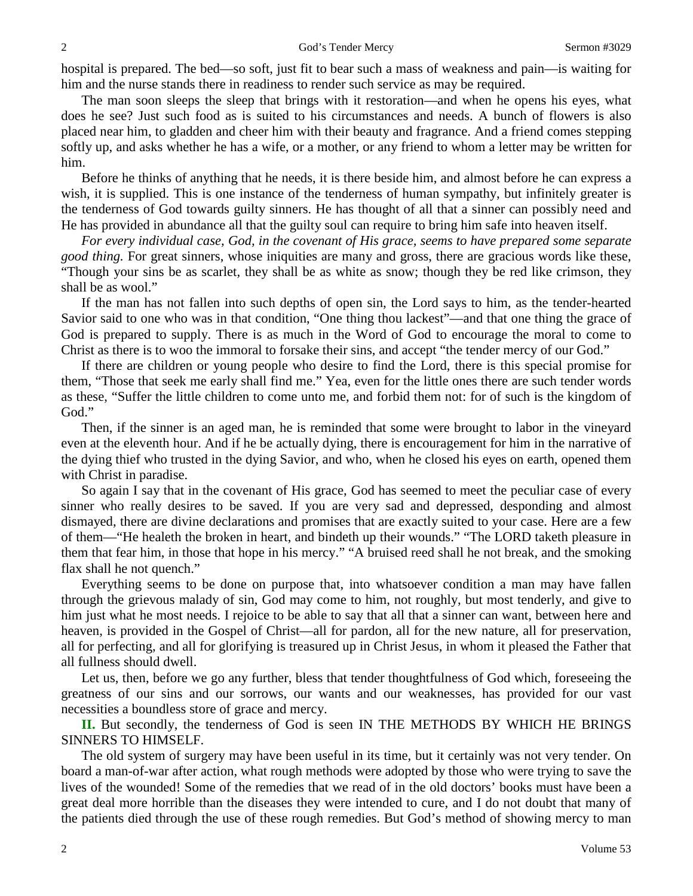hospital is prepared. The bed—so soft, just fit to bear such a mass of weakness and pain—is waiting for him and the nurse stands there in readiness to render such service as may be required.

The man soon sleeps the sleep that brings with it restoration—and when he opens his eyes, what does he see? Just such food as is suited to his circumstances and needs. A bunch of flowers is also placed near him, to gladden and cheer him with their beauty and fragrance. And a friend comes stepping softly up, and asks whether he has a wife, or a mother, or any friend to whom a letter may be written for him.

Before he thinks of anything that he needs, it is there beside him, and almost before he can express a wish, it is supplied. This is one instance of the tenderness of human sympathy, but infinitely greater is the tenderness of God towards guilty sinners. He has thought of all that a sinner can possibly need and He has provided in abundance all that the guilty soul can require to bring him safe into heaven itself.

*For every individual case, God, in the covenant of His grace, seems to have prepared some separate good thing.* For great sinners, whose iniquities are many and gross, there are gracious words like these, "Though your sins be as scarlet, they shall be as white as snow; though they be red like crimson, they shall be as wool."

If the man has not fallen into such depths of open sin, the Lord says to him, as the tender-hearted Savior said to one who was in that condition, "One thing thou lackest"—and that one thing the grace of God is prepared to supply. There is as much in the Word of God to encourage the moral to come to Christ as there is to woo the immoral to forsake their sins, and accept "the tender mercy of our God."

If there are children or young people who desire to find the Lord, there is this special promise for them, "Those that seek me early shall find me." Yea, even for the little ones there are such tender words as these, "Suffer the little children to come unto me, and forbid them not: for of such is the kingdom of God."

Then, if the sinner is an aged man, he is reminded that some were brought to labor in the vineyard even at the eleventh hour. And if he be actually dying, there is encouragement for him in the narrative of the dying thief who trusted in the dying Savior, and who, when he closed his eyes on earth, opened them with Christ in paradise.

So again I say that in the covenant of His grace, God has seemed to meet the peculiar case of every sinner who really desires to be saved. If you are very sad and depressed, desponding and almost dismayed, there are divine declarations and promises that are exactly suited to your case. Here are a few of them—"He healeth the broken in heart, and bindeth up their wounds." "The LORD taketh pleasure in them that fear him, in those that hope in his mercy." "A bruised reed shall he not break, and the smoking flax shall he not quench."

Everything seems to be done on purpose that, into whatsoever condition a man may have fallen through the grievous malady of sin, God may come to him, not roughly, but most tenderly, and give to him just what he most needs. I rejoice to be able to say that all that a sinner can want, between here and heaven, is provided in the Gospel of Christ—all for pardon, all for the new nature, all for preservation, all for perfecting, and all for glorifying is treasured up in Christ Jesus, in whom it pleased the Father that all fullness should dwell.

Let us, then, before we go any further, bless that tender thoughtfulness of God which, foreseeing the greatness of our sins and our sorrows, our wants and our weaknesses, has provided for our vast necessities a boundless store of grace and mercy.

**II.** But secondly, the tenderness of God is seen IN THE METHODS BY WHICH HE BRINGS SINNERS TO HIMSELF.

The old system of surgery may have been useful in its time, but it certainly was not very tender. On board a man-of-war after action, what rough methods were adopted by those who were trying to save the lives of the wounded! Some of the remedies that we read of in the old doctors' books must have been a great deal more horrible than the diseases they were intended to cure, and I do not doubt that many of the patients died through the use of these rough remedies. But God's method of showing mercy to man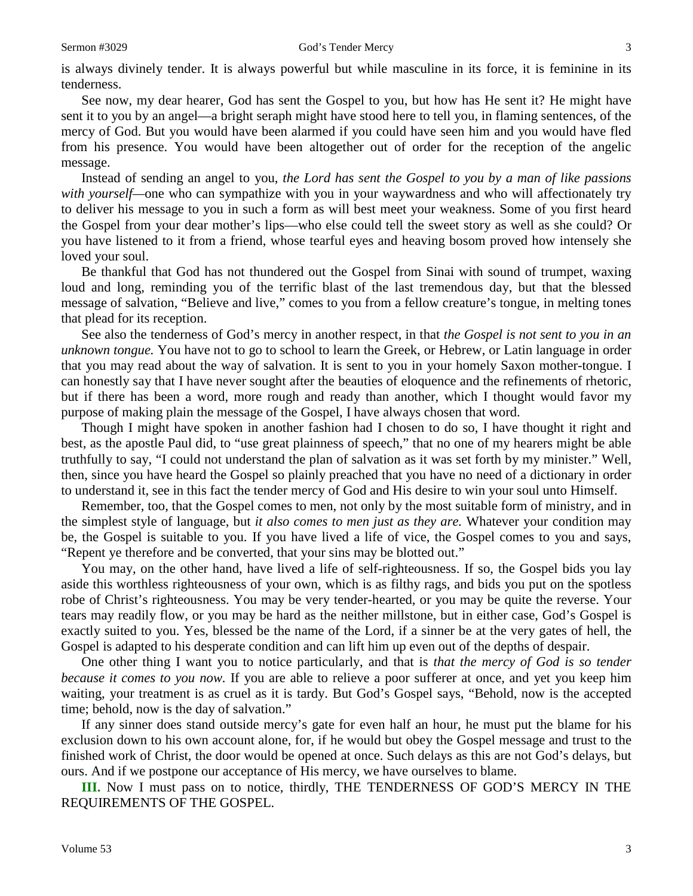is always divinely tender. It is always powerful but while masculine in its force, it is feminine in its tenderness.

See now, my dear hearer, God has sent the Gospel to you, but how has He sent it? He might have sent it to you by an angel—a bright seraph might have stood here to tell you, in flaming sentences, of the mercy of God. But you would have been alarmed if you could have seen him and you would have fled from his presence. You would have been altogether out of order for the reception of the angelic message.

Instead of sending an angel to you, *the Lord has sent the Gospel to you by a man of like passions with yourself—*one who can sympathize with you in your waywardness and who will affectionately try to deliver his message to you in such a form as will best meet your weakness. Some of you first heard the Gospel from your dear mother's lips—who else could tell the sweet story as well as she could? Or you have listened to it from a friend, whose tearful eyes and heaving bosom proved how intensely she loved your soul.

Be thankful that God has not thundered out the Gospel from Sinai with sound of trumpet, waxing loud and long, reminding you of the terrific blast of the last tremendous day, but that the blessed message of salvation, "Believe and live," comes to you from a fellow creature's tongue, in melting tones that plead for its reception.

See also the tenderness of God's mercy in another respect, in that *the Gospel is not sent to you in an unknown tongue.* You have not to go to school to learn the Greek, or Hebrew, or Latin language in order that you may read about the way of salvation. It is sent to you in your homely Saxon mother-tongue. I can honestly say that I have never sought after the beauties of eloquence and the refinements of rhetoric, but if there has been a word, more rough and ready than another, which I thought would favor my purpose of making plain the message of the Gospel, I have always chosen that word.

Though I might have spoken in another fashion had I chosen to do so, I have thought it right and best, as the apostle Paul did, to "use great plainness of speech," that no one of my hearers might be able truthfully to say, "I could not understand the plan of salvation as it was set forth by my minister." Well, then, since you have heard the Gospel so plainly preached that you have no need of a dictionary in order to understand it, see in this fact the tender mercy of God and His desire to win your soul unto Himself.

Remember, too, that the Gospel comes to men, not only by the most suitable form of ministry, and in the simplest style of language, but *it also comes to men just as they are.* Whatever your condition may be, the Gospel is suitable to you. If you have lived a life of vice, the Gospel comes to you and says, "Repent ye therefore and be converted, that your sins may be blotted out."

You may, on the other hand, have lived a life of self-righteousness. If so, the Gospel bids you lay aside this worthless righteousness of your own, which is as filthy rags, and bids you put on the spotless robe of Christ's righteousness. You may be very tender-hearted, or you may be quite the reverse. Your tears may readily flow, or you may be hard as the neither millstone, but in either case, God's Gospel is exactly suited to you. Yes, blessed be the name of the Lord, if a sinner be at the very gates of hell, the Gospel is adapted to his desperate condition and can lift him up even out of the depths of despair.

One other thing I want you to notice particularly, and that is *that the mercy of God is so tender because it comes to you now.* If you are able to relieve a poor sufferer at once, and yet you keep him waiting, your treatment is as cruel as it is tardy. But God's Gospel says, "Behold, now is the accepted time; behold, now is the day of salvation."

If any sinner does stand outside mercy's gate for even half an hour, he must put the blame for his exclusion down to his own account alone, for, if he would but obey the Gospel message and trust to the finished work of Christ, the door would be opened at once. Such delays as this are not God's delays, but ours. And if we postpone our acceptance of His mercy, we have ourselves to blame.

**III.** Now I must pass on to notice, thirdly, THE TENDERNESS OF GOD'S MERCY IN THE REQUIREMENTS OF THE GOSPEL.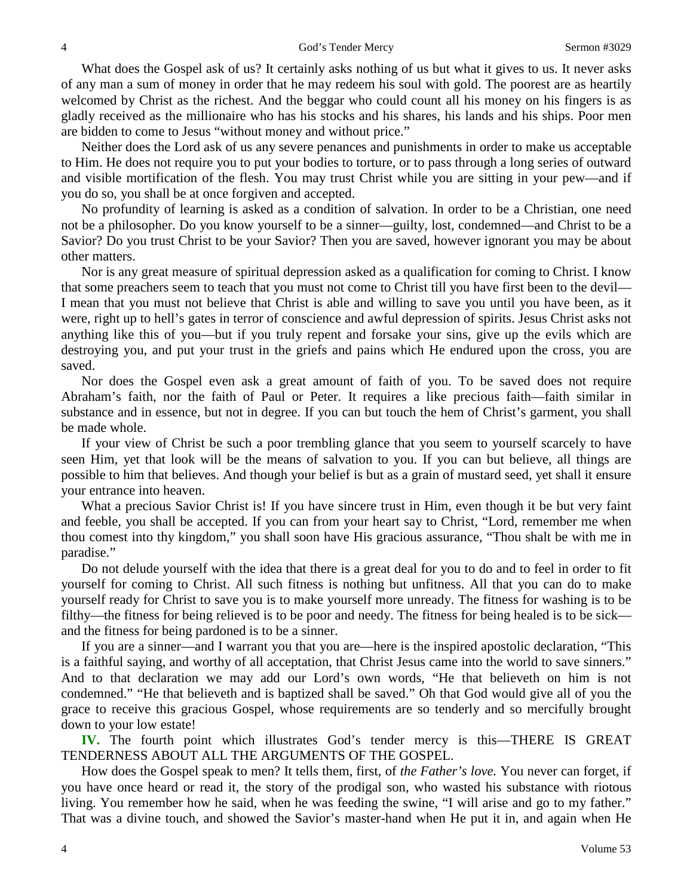What does the Gospel ask of us? It certainly asks nothing of us but what it gives to us. It never asks of any man a sum of money in order that he may redeem his soul with gold. The poorest are as heartily welcomed by Christ as the richest. And the beggar who could count all his money on his fingers is as gladly received as the millionaire who has his stocks and his shares, his lands and his ships. Poor men are bidden to come to Jesus "without money and without price."

Neither does the Lord ask of us any severe penances and punishments in order to make us acceptable to Him. He does not require you to put your bodies to torture, or to pass through a long series of outward and visible mortification of the flesh. You may trust Christ while you are sitting in your pew—and if you do so, you shall be at once forgiven and accepted.

No profundity of learning is asked as a condition of salvation. In order to be a Christian, one need not be a philosopher. Do you know yourself to be a sinner—guilty, lost, condemned—and Christ to be a Savior? Do you trust Christ to be your Savior? Then you are saved, however ignorant you may be about other matters.

Nor is any great measure of spiritual depression asked as a qualification for coming to Christ. I know that some preachers seem to teach that you must not come to Christ till you have first been to the devil— I mean that you must not believe that Christ is able and willing to save you until you have been, as it were, right up to hell's gates in terror of conscience and awful depression of spirits. Jesus Christ asks not anything like this of you—but if you truly repent and forsake your sins, give up the evils which are destroying you, and put your trust in the griefs and pains which He endured upon the cross, you are saved.

Nor does the Gospel even ask a great amount of faith of you. To be saved does not require Abraham's faith, nor the faith of Paul or Peter. It requires a like precious faith—faith similar in substance and in essence, but not in degree. If you can but touch the hem of Christ's garment, you shall be made whole.

If your view of Christ be such a poor trembling glance that you seem to yourself scarcely to have seen Him, yet that look will be the means of salvation to you. If you can but believe, all things are possible to him that believes. And though your belief is but as a grain of mustard seed, yet shall it ensure your entrance into heaven.

What a precious Savior Christ is! If you have sincere trust in Him, even though it be but very faint and feeble, you shall be accepted. If you can from your heart say to Christ, "Lord, remember me when thou comest into thy kingdom," you shall soon have His gracious assurance, "Thou shalt be with me in paradise."

Do not delude yourself with the idea that there is a great deal for you to do and to feel in order to fit yourself for coming to Christ. All such fitness is nothing but unfitness. All that you can do to make yourself ready for Christ to save you is to make yourself more unready. The fitness for washing is to be filthy—the fitness for being relieved is to be poor and needy. The fitness for being healed is to be sick and the fitness for being pardoned is to be a sinner.

If you are a sinner—and I warrant you that you are—here is the inspired apostolic declaration, "This is a faithful saying, and worthy of all acceptation, that Christ Jesus came into the world to save sinners." And to that declaration we may add our Lord's own words, "He that believeth on him is not condemned." "He that believeth and is baptized shall be saved." Oh that God would give all of you the grace to receive this gracious Gospel, whose requirements are so tenderly and so mercifully brought down to your low estate!

**IV.** The fourth point which illustrates God's tender mercy is this—THERE IS GREAT TENDERNESS ABOUT ALL THE ARGUMENTS OF THE GOSPEL.

How does the Gospel speak to men? It tells them, first, of *the Father's love.* You never can forget, if you have once heard or read it, the story of the prodigal son, who wasted his substance with riotous living. You remember how he said, when he was feeding the swine, "I will arise and go to my father." That was a divine touch, and showed the Savior's master-hand when He put it in, and again when He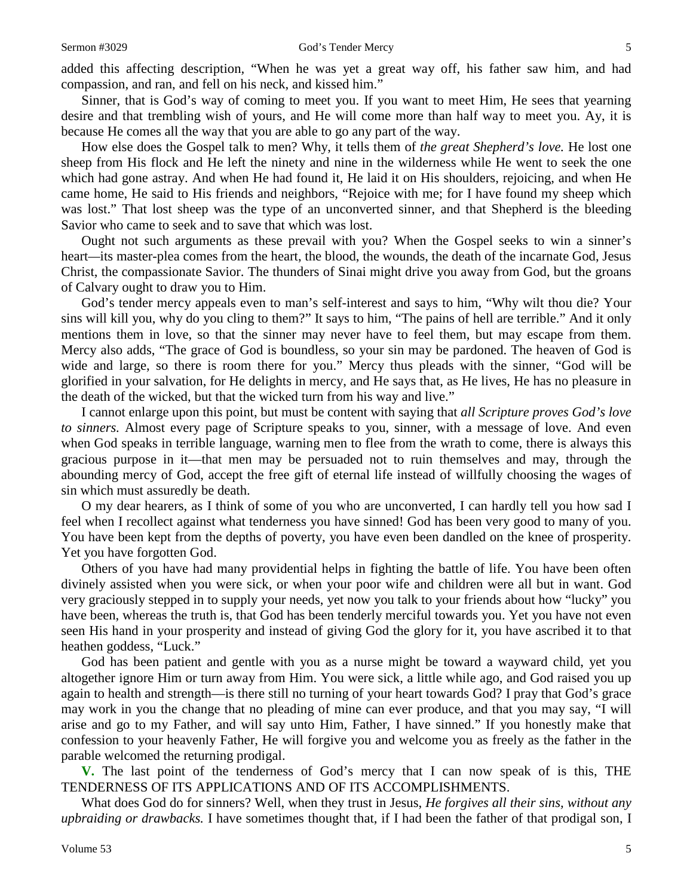added this affecting description*,* "When he was yet a great way off, his father saw him, and had compassion, and ran, and fell on his neck, and kissed him."

Sinner, that is God's way of coming to meet you. If you want to meet Him, He sees that yearning desire and that trembling wish of yours, and He will come more than half way to meet you. Ay, it is because He comes all the way that you are able to go any part of the way.

How else does the Gospel talk to men? Why, it tells them of *the great Shepherd's love.* He lost one sheep from His flock and He left the ninety and nine in the wilderness while He went to seek the one which had gone astray. And when He had found it, He laid it on His shoulders, rejoicing, and when He came home, He said to His friends and neighbors, "Rejoice with me; for I have found my sheep which was lost." That lost sheep was the type of an unconverted sinner, and that Shepherd is the bleeding Savior who came to seek and to save that which was lost.

Ought not such arguments as these prevail with you? When the Gospel seeks to win a sinner's heart*—*its master-plea comes from the heart, the blood, the wounds, the death of the incarnate God, Jesus Christ, the compassionate Savior. The thunders of Sinai might drive you away from God, but the groans of Calvary ought to draw you to Him.

God's tender mercy appeals even to man's self-interest and says to him, "Why wilt thou die? Your sins will kill you, why do you cling to them?" It says to him, "The pains of hell are terrible." And it only mentions them in love, so that the sinner may never have to feel them, but may escape from them. Mercy also adds, "The grace of God is boundless, so your sin may be pardoned. The heaven of God is wide and large, so there is room there for you." Mercy thus pleads with the sinner, "God will be glorified in your salvation, for He delights in mercy, and He says that, as He lives, He has no pleasure in the death of the wicked, but that the wicked turn from his way and live."

I cannot enlarge upon this point, but must be content with saying that *all Scripture proves God's love to sinners.* Almost every page of Scripture speaks to you, sinner, with a message of love. And even when God speaks in terrible language, warning men to flee from the wrath to come, there is always this gracious purpose in it—that men may be persuaded not to ruin themselves and may, through the abounding mercy of God, accept the free gift of eternal life instead of willfully choosing the wages of sin which must assuredly be death.

O my dear hearers, as I think of some of you who are unconverted, I can hardly tell you how sad I feel when I recollect against what tenderness you have sinned! God has been very good to many of you. You have been kept from the depths of poverty, you have even been dandled on the knee of prosperity. Yet you have forgotten God.

Others of you have had many providential helps in fighting the battle of life. You have been often divinely assisted when you were sick, or when your poor wife and children were all but in want. God very graciously stepped in to supply your needs, yet now you talk to your friends about how "lucky" you have been, whereas the truth is, that God has been tenderly merciful towards you. Yet you have not even seen His hand in your prosperity and instead of giving God the glory for it, you have ascribed it to that heathen goddess, "Luck."

God has been patient and gentle with you as a nurse might be toward a wayward child, yet you altogether ignore Him or turn away from Him. You were sick, a little while ago, and God raised you up again to health and strength—is there still no turning of your heart towards God? I pray that God's grace may work in you the change that no pleading of mine can ever produce, and that you may say, "I will arise and go to my Father, and will say unto Him, Father, I have sinned." If you honestly make that confession to your heavenly Father, He will forgive you and welcome you as freely as the father in the parable welcomed the returning prodigal.

**V.** The last point of the tenderness of God's mercy that I can now speak of is this, THE TENDERNESS OF ITS APPLICATIONS AND OF ITS ACCOMPLISHMENTS.

What does God do for sinners? Well, when they trust in Jesus, *He forgives all their sins, without any upbraiding or drawbacks.* I have sometimes thought that, if I had been the father of that prodigal son, I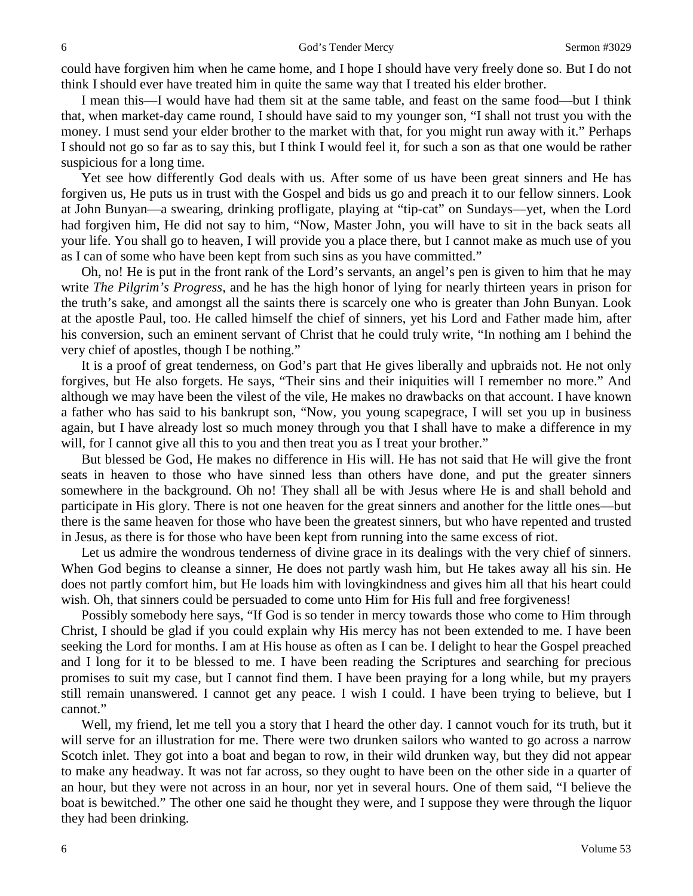could have forgiven him when he came home, and I hope I should have very freely done so. But I do not think I should ever have treated him in quite the same way that I treated his elder brother.

I mean this—I would have had them sit at the same table, and feast on the same food—but I think that, when market-day came round, I should have said to my younger son, "I shall not trust you with the money. I must send your elder brother to the market with that, for you might run away with it." Perhaps I should not go so far as to say this, but I think I would feel it, for such a son as that one would be rather suspicious for a long time.

Yet see how differently God deals with us. After some of us have been great sinners and He has forgiven us, He puts us in trust with the Gospel and bids us go and preach it to our fellow sinners. Look at John Bunyan—a swearing, drinking profligate, playing at "tip-cat" on Sundays—yet, when the Lord had forgiven him, He did not say to him, "Now, Master John*,* you will have to sit in the back seats all your life. You shall go to heaven, I will provide you a place there, but I cannot make as much use of you as I can of some who have been kept from such sins as you have committed."

Oh, no! He is put in the front rank of the Lord's servants, an angel's pen is given to him that he may write *The Pilgrim's Progress,* and he has the high honor of lying for nearly thirteen years in prison for the truth's sake, and amongst all the saints there is scarcely one who is greater than John Bunyan. Look at the apostle Paul, too. He called himself the chief of sinners, yet his Lord and Father made him, after his conversion, such an eminent servant of Christ that he could truly write, "In nothing am I behind the very chief of apostles, though I be nothing."

It is a proof of great tenderness, on God's part that He gives liberally and upbraids not. He not only forgives, but He also forgets. He says, "Their sins and their iniquities will I remember no more." And although we may have been the vilest of the vile, He makes no drawbacks on that account. I have known a father who has said to his bankrupt son, "Now, you young scapegrace, I will set you up in business again, but I have already lost so much money through you that I shall have to make a difference in my will, for I cannot give all this to you and then treat you as I treat your brother."

But blessed be God, He makes no difference in His will. He has not said that He will give the front seats in heaven to those who have sinned less than others have done, and put the greater sinners somewhere in the background. Oh no! They shall all be with Jesus where He is and shall behold and participate in His glory. There is not one heaven for the great sinners and another for the little ones—but there is the same heaven for those who have been the greatest sinners, but who have repented and trusted in Jesus, as there is for those who have been kept from running into the same excess of riot.

Let us admire the wondrous tenderness of divine grace in its dealings with the very chief of sinners. When God begins to cleanse a sinner, He does not partly wash him, but He takes away all his sin. He does not partly comfort him, but He loads him with lovingkindness and gives him all that his heart could wish. Oh, that sinners could be persuaded to come unto Him for His full and free forgiveness!

Possibly somebody here says, "If God is so tender in mercy towards those who come to Him through Christ, I should be glad if you could explain why His mercy has not been extended to me. I have been seeking the Lord for months. I am at His house as often as I can be. I delight to hear the Gospel preached and I long for it to be blessed to me. I have been reading the Scriptures and searching for precious promises to suit my case, but I cannot find them. I have been praying for a long while, but my prayers still remain unanswered. I cannot get any peace. I wish I could. I have been trying to believe, but I cannot."

Well, my friend, let me tell you a story that I heard the other day. I cannot vouch for its truth, but it will serve for an illustration for me. There were two drunken sailors who wanted to go across a narrow Scotch inlet. They got into a boat and began to row, in their wild drunken way, but they did not appear to make any headway. It was not far across, so they ought to have been on the other side in a quarter of an hour, but they were not across in an hour, nor yet in several hours. One of them said, "I believe the boat is bewitched." The other one said he thought they were, and I suppose they were through the liquor they had been drinking.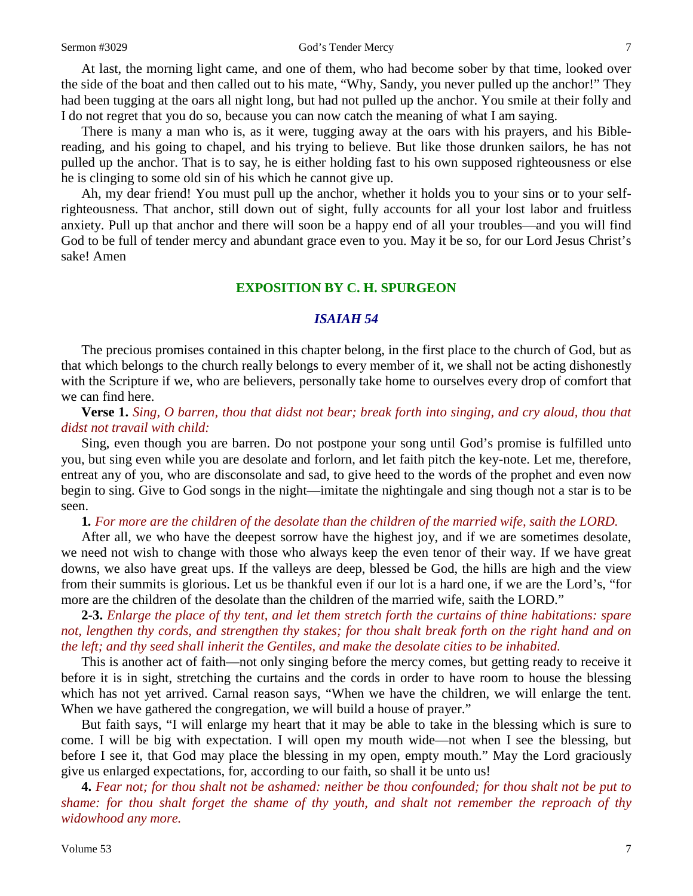#### Sermon #3029 God's Tender Mercy 7

At last, the morning light came, and one of them, who had become sober by that time, looked over the side of the boat and then called out to his mate, "Why, Sandy, you never pulled up the anchor!" They had been tugging at the oars all night long, but had not pulled up the anchor. You smile at their folly and I do not regret that you do so, because you can now catch the meaning of what I am saying.

There is many a man who is, as it were, tugging away at the oars with his prayers, and his Biblereading, and his going to chapel, and his trying to believe. But like those drunken sailors, he has not pulled up the anchor. That is to say, he is either holding fast to his own supposed righteousness or else he is clinging to some old sin of his which he cannot give up.

Ah*,* my dear friend! You must pull up the anchor, whether it holds you to your sins or to your selfrighteousness. That anchor, still down out of sight, fully accounts for all your lost labor and fruitless anxiety. Pull up that anchor and there will soon be a happy end of all your troubles—and you will find God to be full of tender mercy and abundant grace even to you. May it be so, for our Lord Jesus Christ's sake! Amen

## **EXPOSITION BY C. H. SPURGEON**

## *ISAIAH 54*

The precious promises contained in this chapter belong, in the first place to the church of God, but as that which belongs to the church really belongs to every member of it, we shall not be acting dishonestly with the Scripture if we, who are believers, personally take home to ourselves every drop of comfort that we can find here.

**Verse 1.** *Sing, O barren, thou that didst not bear; break forth into singing, and cry aloud, thou that didst not travail with child:* 

Sing, even though you are barren. Do not postpone your song until God's promise is fulfilled unto you, but sing even while you are desolate and forlorn, and let faith pitch the key-note. Let me, therefore, entreat any of you, who are disconsolate and sad, to give heed to the words of the prophet and even now begin to sing. Give to God songs in the night—imitate the nightingale and sing though not a star is to be seen.

**1***. For more are the children of the desolate than the children of the married wife, saith the LORD.*

After all, we who have the deepest sorrow have the highest joy, and if we are sometimes desolate, we need not wish to change with those who always keep the even tenor of their way. If we have great downs, we also have great ups. If the valleys are deep, blessed be God, the hills are high and the view from their summits is glorious. Let us be thankful even if our lot is a hard one, if we are the Lord's, "for more are the children of the desolate than the children of the married wife, saith the LORD."

**2-3.** *Enlarge the place of thy tent, and let them stretch forth the curtains of thine habitations: spare not, lengthen thy cords, and strengthen thy stakes; for thou shalt break forth on the right hand and on the left; and thy seed shall inherit the Gentiles, and make the desolate cities to be inhabited.*

This is another act of faith—not only singing before the mercy comes, but getting ready to receive it before it is in sight, stretching the curtains and the cords in order to have room to house the blessing which has not yet arrived. Carnal reason says, "When we have the children, we will enlarge the tent. When we have gathered the congregation, we will build a house of prayer."

But faith says, "I will enlarge my heart that it may be able to take in the blessing which is sure to come. I will be big with expectation. I will open my mouth wide—not when I see the blessing, but before I see it, that God may place the blessing in my open, empty mouth." May the Lord graciously give us enlarged expectations, for, according to our faith, so shall it be unto us!

**4.** *Fear not; for thou shalt not be ashamed: neither be thou confounded; for thou shalt not be put to shame: for thou shalt forget the shame of thy youth, and shalt not remember the reproach of thy widowhood any more.*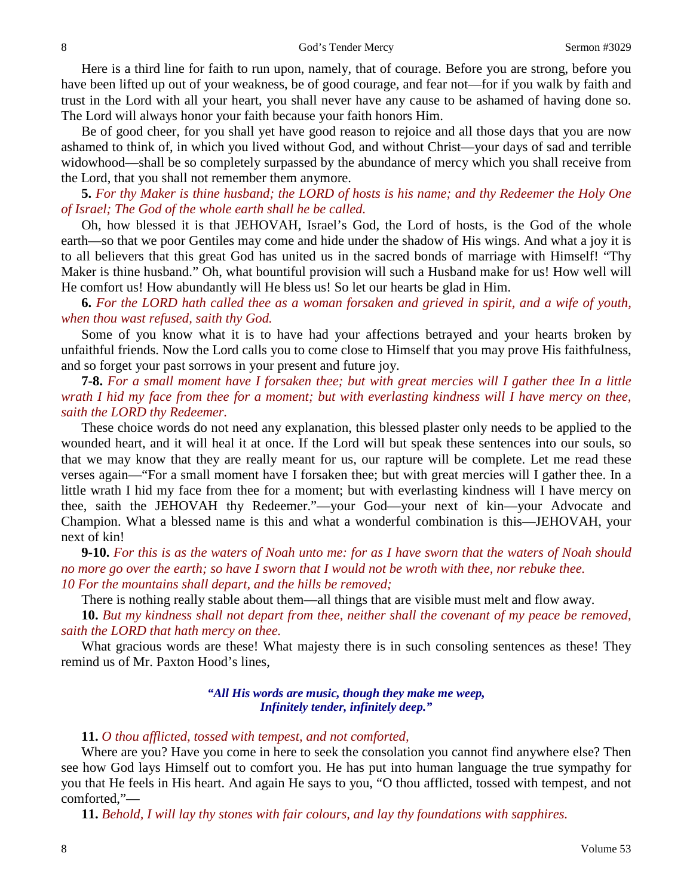Here is a third line for faith to run upon, namely, that of courage. Before you are strong, before you have been lifted up out of your weakness, be of good courage, and fear not—for if you walk by faith and trust in the Lord with all your heart, you shall never have any cause to be ashamed of having done so. The Lord will always honor your faith because your faith honors Him.

Be of good cheer, for you shall yet have good reason to rejoice and all those days that you are now ashamed to think of, in which you lived without God, and without Christ—your days of sad and terrible widowhood—shall be so completely surpassed by the abundance of mercy which you shall receive from the Lord, that you shall not remember them anymore.

**5.** *For thy Maker is thine husband; the LORD of hosts is his name; and thy Redeemer the Holy One of Israel; The God of the whole earth shall he be called.*

Oh, how blessed it is that JEHOVAH, Israel's God, the Lord of hosts, is the God of the whole earth—so that we poor Gentiles may come and hide under the shadow of His wings. And what a joy it is to all believers that this great God has united us in the sacred bonds of marriage with Himself! "Thy Maker is thine husband." Oh, what bountiful provision will such a Husband make for us! How well will He comfort us! How abundantly will He bless us! So let our hearts be glad in Him.

**6.** *For the LORD hath called thee as a woman forsaken and grieved in spirit, and a wife of youth, when thou wast refused, saith thy God.*

Some of you know what it is to have had your affections betrayed and your hearts broken by unfaithful friends. Now the Lord calls you to come close to Himself that you may prove His faithfulness, and so forget your past sorrows in your present and future joy.

**7-8.** *For a small moment have I forsaken thee; but with great mercies will I gather thee In a little wrath I hid my face from thee for a moment; but with everlasting kindness will I have mercy on thee, saith the LORD thy Redeemer.*

These choice words do not need any explanation, this blessed plaster only needs to be applied to the wounded heart, and it will heal it at once. If the Lord will but speak these sentences into our souls, so that we may know that they are really meant for us, our rapture will be complete. Let me read these verses again—"For a small moment have I forsaken thee; but with great mercies will I gather thee. In a little wrath I hid my face from thee for a moment; but with everlasting kindness will I have mercy on thee, saith the JEHOVAH thy Redeemer."—your God—your next of kin—your Advocate and Champion. What a blessed name is this and what a wonderful combination is this—JEHOVAH, your next of kin!

**9-10.** *For this is as the waters of Noah unto me: for as I have sworn that the waters of Noah should no more go over the earth; so have I sworn that I would not be wroth with thee, nor rebuke thee. 10 For the mountains shall depart, and the hills be removed;* 

There is nothing really stable about them—all things that are visible must melt and flow away.

**10.** *But my kindness shall not depart from thee, neither shall the covenant of my peace be removed, saith the LORD that hath mercy on thee.*

What gracious words are these! What majesty there is in such consoling sentences as these! They remind us of Mr. Paxton Hood's lines,

> *"All His words are music, though they make me weep, Infinitely tender, infinitely deep."*

**11.** *O thou afflicted, tossed with tempest, and not comforted,*

Where are you? Have you come in here to seek the consolation you cannot find anywhere else? Then see how God lays Himself out to comfort you. He has put into human language the true sympathy for you that He feels in His heart. And again He says to you, "O thou afflicted, tossed with tempest, and not comforted,"—

**11.** *Behold, I will lay thy stones with fair colours, and lay thy foundations with sapphires.*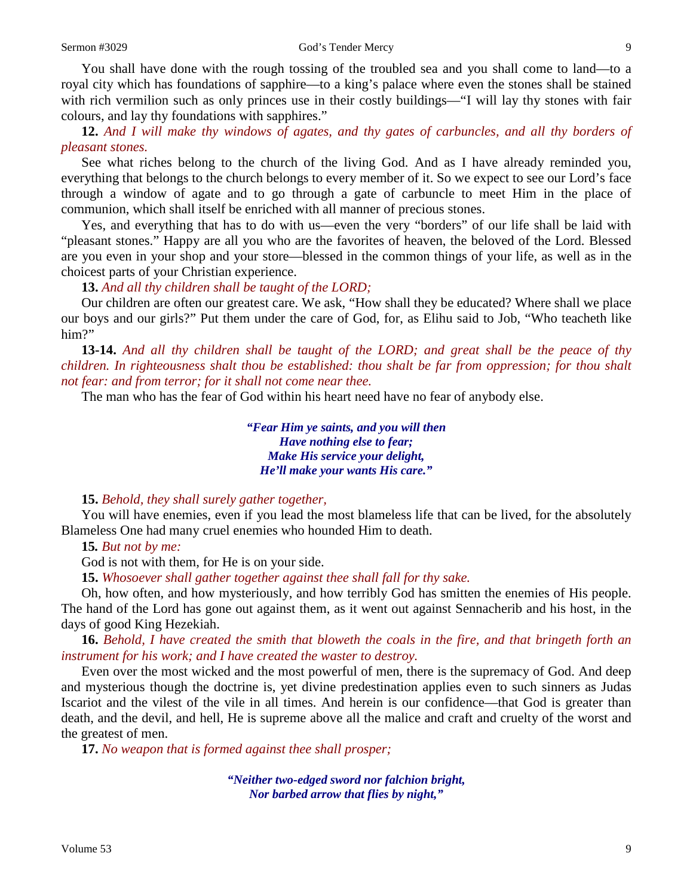You shall have done with the rough tossing of the troubled sea and you shall come to land—to a royal city which has foundations of sapphire—to a king's palace where even the stones shall be stained with rich vermilion such as only princes use in their costly buildings—"I will lay thy stones with fair colours, and lay thy foundations with sapphires."

**12.** *And I will make thy windows of agates, and thy gates of carbuncles, and all thy borders of pleasant stones.*

See what riches belong to the church of the living God. And as I have already reminded you, everything that belongs to the church belongs to every member of it. So we expect to see our Lord's face through a window of agate and to go through a gate of carbuncle to meet Him in the place of communion, which shall itself be enriched with all manner of precious stones.

Yes, and everything that has to do with us—even the very "borders" of our life shall be laid with "pleasant stones." Happy are all you who are the favorites of heaven, the beloved of the Lord. Blessed are you even in your shop and your store—blessed in the common things of your life, as well as in the choicest parts of your Christian experience.

**13.** *And all thy children shall be taught of the LORD;*

Our children are often our greatest care. We ask, "How shall they be educated? Where shall we place our boys and our girls?" Put them under the care of God, for, as Elihu said to Job, "Who teacheth like him?"

**13-14.** *And all thy children shall be taught of the LORD; and great shall be the peace of thy children. In righteousness shalt thou be established: thou shalt be far from oppression; for thou shalt not fear: and from terror; for it shall not come near thee.*

The man who has the fear of God within his heart need have no fear of anybody else.

*"Fear Him ye saints, and you will then Have nothing else to fear; Make His service your delight, He'll make your wants His care."*

**15.** *Behold, they shall surely gather together,*

You will have enemies, even if you lead the most blameless life that can be lived, for the absolutely Blameless One had many cruel enemies who hounded Him to death.

**15***. But not by me:*

God is not with them, for He is on your side.

**15.** *Whosoever shall gather together against thee shall fall for thy sake.*

Oh, how often, and how mysteriously, and how terribly God has smitten the enemies of His people. The hand of the Lord has gone out against them, as it went out against Sennacherib and his host, in the days of good King Hezekiah.

**16.** *Behold, I have created the smith that bloweth the coals in the fire, and that bringeth forth an instrument for his work; and I have created the waster to destroy.*

Even over the most wicked and the most powerful of men, there is the supremacy of God. And deep and mysterious though the doctrine is, yet divine predestination applies even to such sinners as Judas Iscariot and the vilest of the vile in all times. And herein is our confidence—that God is greater than death, and the devil, and hell, He is supreme above all the malice and craft and cruelty of the worst and the greatest of men.

**17.** *No weapon that is formed against thee shall prosper;*

*"Neither two-edged sword nor falchion bright, Nor barbed arrow that flies by night,"*